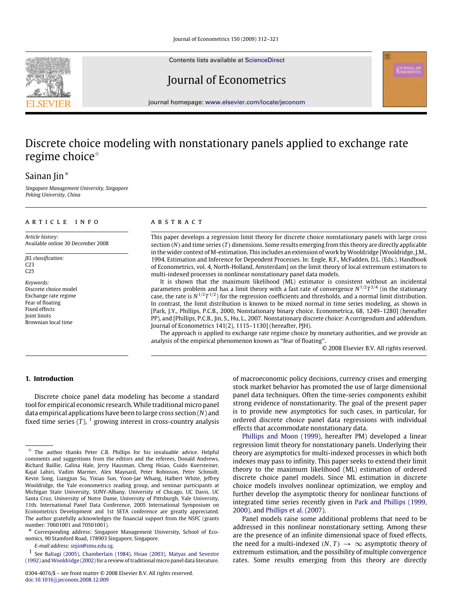Contents lists available at [ScienceDirect](http://www.elsevier.com/locate/jeconom)

Journal of Econometrics

journal homepage: [www.elsevier.com/locate/jeconom](http://www.elsevier.com/locate/jeconom)

## Discrete choice modeling with nonstationary panels applied to exchange rate regime choice<sup>☆</sup>

### Sainan Jin<sup>\*</sup>

*Singapore Management University, Singapore Peking University, China*

#### ARTICLE INFO

*Article history:* Available online 30 December 2008

*JEL classification:* C23 C25

*Keywords:* Discrete choice model Exchange rate regime Fear of floating Fixed effects Joint limits Brownian local time

#### a b s t r a c t

This paper develops a regression limit theory for discrete choice nonstationary panels with large cross section (*N*) and time series (*T* ) dimensions. Some results emerging from this theory are directly applicable in the wider context of M-estimation. This includes an extension of work by Wooldridge [Wooldridge, J.M., 1994. Estimation and Inference for Dependent Processes. In: Engle, R.F., McFadden, D.L. (Eds.). Handbook of Econometrics, vol. 4, North-Holland, Amsterdam] on the limit theory of local extremum estimators to multi-indexed processes in nonlinear nonstationary panel data models.

It is shown that the maximum likelihood (ML) estimator is consistent without an incidental parameters problem and has a limit theory with a fast rate of convergence  $N^{1/2}T^{3/4}$  (in the stationary case, the rate is  $N^{1/2}T^{1/2}$  for the regression coefficients and thresholds, and a normal limit distribution. In contrast, the limit distribution is known to be mixed normal in time series modeling, as shown in [Park, J.Y., Phillips, P.C.B., 2000, Nonstationary binary choice. Econometrica, 68, 1249–1280] (hereafter PP), and [Phillips, P.C.B., Jin, S., Hu, L., 2007. Nonstationary discrete choice: A corrigendum and addendum. Journal of Econometrics 141(2), 1115–1130] (hereafter, PJH).

The approach is applied to exchange rate regime choice by monetary authorities, and we provide an analysis of the empirical phenomenon known as ''fear of floating''.

© 2008 Elsevier B.V. All rights reserved.

#### **1. Introduction**

Discrete choice panel data modeling has become a standard tool for empirical economic research.While traditional micro panel data empirical applications have been to large cross section (*N*) and fixed time series  $(T)$ , <sup>[1](#page-0-2)</sup> growing interest in cross-country analysis

<span id="page-0-2"></span>*E-mail address:* [snjin@smu.edu.sg.](mailto:snjin@smu.edu.sg)

of macroeconomic policy decisions, currency crises and emerging stock market behavior has promoted the use of large dimensional panel data techniques. Often the time-series components exhibit strong evidence of nonstationarity. The goal of the present paper is to provide new asymptotics for such cases, in particular, for ordered discrete choice panel data regressions with individual effects that accommodate nonstationary data.

[Phillips](#page--1-5) [and](#page--1-5) [Moon](#page--1-5) [\(1999\)](#page--1-5), hereafter PM) developed a linear regression limit theory for nonstationary panels. Underlying their theory are asymptotics for multi-indexed processes in which both indexes may pass to infinity. This paper seeks to extend their limit theory to the maximum likelihood (ML) estimation of ordered discrete choice panel models. Since ML estimation in discrete choice models involves nonlinear optimization, we employ and further develop the asymptotic theory for nonlinear functions of integrated time series recently given in [Park](#page--1-6) [and](#page--1-6) [Phillips](#page--1-6) [\(1999,](#page--1-6) [2000\),](#page--1-7) and [Phillips](#page--1-8) [et al.](#page--1-8) [\(2007\)](#page--1-8).

Panel models raise some additional problems that need to be addressed in this nonlinear nonstationary setting. Among these are the presence of an infinite dimensional space of fixed effects, the need for a multi-indexed  $(N, T) \rightarrow \infty$  asymptotic theory of extremum estimation, and the possibility of multiple convergence rates. Some results emerging from this theory are directly



<span id="page-0-0"></span> $\overrightarrow{x}$  The author thanks Peter C.B. Phillips for his invaluable advice. Helpful comments and suggestions from the editors and the referees, Donald Andrews, Richard Baillie, Galina Hale, Jerry Hausman, Cheng Hsiao, Guido Kuersteiner, Kajal Lahiri, Vadim Marmer, Alex Maynard, Peter Robinson, Peter Schmidt, Kevin Song, Liangjun Su, Yixiao Sun, Yoon-Jae Whang, Halbert White, Jeffrey Wooldridge, the Yale econometrics reading group, and seminar participants at Michigan State University, SUNY-Albany, University of Chicago, UC Davis, UC Santa Cruz, University of Notre Dame, University of Pittsburgh, Yale University, 11th. International Panel Data Conference, 2005 International Symposium on Econometrics Development and 1st SETA conference are greatly appreciated. The author gratefully acknowledges the financial support from the NSFC (grants number: 70601001 and 70501001).

<span id="page-0-1"></span><sup>∗</sup> Corresponding address: Singapore Management University, School of Economics, 90 Stamford Road, 178903 Singapore, Singapore.

<sup>1</sup> See [Baltagi](#page--1-0) [\(2005\)](#page--1-0), [Chamberlain](#page--1-1) [\(1984\)](#page--1-1), [Hsiao](#page--1-2) [\(2003\)](#page--1-2), [Matyas](#page--1-3) [and](#page--1-3) [Sevestre](#page--1-3) [\(1992\)](#page--1-3) and[Wooldridge](#page--1-4) [\(2002\)](#page--1-4) for a review of traditional micro panel data literature.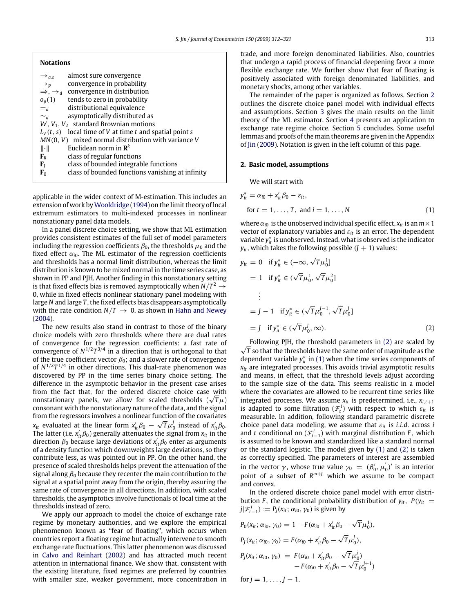| <b>Notations</b>                                     |                                                                        |
|------------------------------------------------------|------------------------------------------------------------------------|
| $\rightarrow_{a.s}$                                  | almost sure convergence                                                |
| $\rightarrow_p$                                      | convergence in probability                                             |
|                                                      | $\Rightarrow$ , $\rightarrow$ <sub>d</sub> convergence in distribution |
|                                                      | $o_p(1)$ tends to zero in probability                                  |
| $=$ <sub>d</sub>                                     | distributional equivalence                                             |
| $\sim_d$                                             | asymptotically distributed as                                          |
| $W, V_1, V_2$ standard Brownian motions              |                                                                        |
|                                                      | $L_V(t,s)$ local time of V at time t and spatial point s               |
| $MN(0, V)$ mixed normal distribution with variance V |                                                                        |
| $\ \cdot\ $                                          | Euclidean norm in $\mathbf{R}^k$                                       |
| $F_R$                                                | class of regular functions                                             |
| ${\bf F}_I$                                          | class of bounded integrable functions                                  |
| F <sub>0</sub>                                       | class of bounded functions vanishing at infinity                       |

applicable in the wider context of M-estimation. This includes an extension of work by[Wooldridge](#page--1-9) [\(1994\)](#page--1-9) on the limit theory of local extremum estimators to multi-indexed processes in nonlinear nonstationary panel data models.

In a panel discrete choice setting, we show that ML estimation provides consistent estimates of the full set of model parameters including the regression coefficients  $\beta_0$ , the thresholds  $\mu_0$  and the fixed effect  $\alpha_{i0}$ . The ML estimator of the regression coefficients and thresholds has a normal limit distribution, whereas the limit distribution is known to be mixed normal in the time series case, as shown in PP and PJH. Another finding in this nonstationary setting is that fixed effects bias is removed asymptotically when  $N/T^2 \to$ 0, while in fixed effects nonlinear stationary panel modeling with large *N* and large *T* , the fixed effects bias disappears asymptotically with the rate condition  $N/T \rightarrow 0$ , as shown in [Hahn](#page--1-10) [and](#page--1-10) [Newey](#page--1-10) [\(2004\)](#page--1-10).

The new results also stand in contrast to those of the binary choice models with zero thresholds where there are dual rates of convergence for the regression coefficients: a fast rate of convergence of  $N^{1/2}T^{3/4}$  in a direction that is orthogonal to that of the true coefficient vector  $\beta_0$ ; and a slower rate of convergence of  $N^{1/2}T^{1/4}$  in other directions. This dual-rate phenomenon was discovered by PP in the time series binary choice setting. The difference in the asymptotic behavior in the present case arises from the fact that, for the ordered discrete choice case with from the fact that, for the ordered discrete choice case with<br>nonstationary panels, we allow for scaled thresholds ( $\sqrt{\tau}\mu)$ consonant with the nonstationary nature of the data, and the signal from the regressors involves a nonlinear function of the covariates  $\overline{\phantom{C}}$  $x_{it}$  evaluated at the linear form  $x_{it}'\beta_0 - \sqrt{T}\mu_0^j$  instead of  $x_{it}'\beta_0$ . The latter (i.e.  $x'_{it} \beta_0$ ) generally attenuates the signal from  $x_{it}$  in the direction  $\beta_0$  because large deviations of  $x'_{it} \beta_0$  enter as arguments of a density function which downweights large deviations, so they contribute less, as was pointed out in PP. On the other hand, the presence of scaled thresholds helps prevent the attenuation of the signal along  $\beta_0$  because they recenter the main contribution to the signal at a spatial point away from the origin, thereby assuring the same rate of convergence in all directions. In addition, with scaled thresholds, the asymptotics involve functionals of local time at the thresholds instead of zero.

We apply our approach to model the choice of exchange rate regime by monetary authorities, and we explore the empirical phenomenon known as ''fear of floating'', which occurs when countries report a floating regime but actually intervene to smooth exchange rate fluctuations. This latter phenomenon was discussed in [Calvo](#page--1-11) [and](#page--1-11) [Reinhart](#page--1-11) [\(2002\)](#page--1-11) and has attracted much recent attention in international finance. We show that, consistent with the existing literature, fixed regimes are preferred by countries with smaller size, weaker government, more concentration in trade, and more foreign denominated liabilities. Also, countries that undergo a rapid process of financial deepening favor a more flexible exchange rate. We further show that fear of floating is positively associated with foreign denominated liabilities, and monetary shocks, among other variables.

The remainder of the paper is organized as follows. Section [2](#page-1-0) outlines the discrete choice panel model with individual effects and assumptions. Section [3](#page--1-12) gives the main results on the limit theory of the ML estimator. Section [4](#page--1-13) presents an application to exchange rate regime choice. Section [5](#page--1-14) concludes. Some useful lemmas and proofs of the main theorems are given in the Appendix of [Jin](#page--1-15) [\(2009\)](#page--1-15). Notation is given in the left column of this page.

#### <span id="page-1-0"></span>**2. Basic model, assumptions**

<span id="page-1-2"></span>We will start with

$$
y_{it}^* = \alpha_{i0} + x_{it}'\beta_0 - \varepsilon_{it},
$$
  
for  $t = 1, ..., T$ , and  $i = 1, ..., N$  (1)

where  $\alpha_{i0}$  is the unobserved individual specific effect,  $x_{it}$  is an  $m \times 1$ vector of explanatory variables and  $\varepsilon_{it}$  is an error. The dependent variable  $y_{it}^*$  is unobserved. Instead, what is observed is the indicator  $y_{it}$ , which takes the following possible  $(J + 1)$  values:

$$
y_{it} = 0 \quad \text{if } y_{it}^{*} \in (-\infty, \sqrt{T} \mu_0^1] \\
= 1 \quad \text{if } y_{it}^{*} \in (\sqrt{T} \mu_0^1, \sqrt{T} \mu_0^2] \\
\vdots \\
= J - 1 \quad \text{if } y_{it}^{*} \in (\sqrt{T} \mu_0^{J-1}, \sqrt{T} \mu_0^J] \\
= J \quad \text{if } y_{it}^{*} \in (\sqrt{T} \mu_0^J, \infty).
$$
\n(2)

<span id="page-1-1"></span>√ Following PJH, the threshold parameters in [\(2\)](#page-1-1) are scaled by  $\sqrt{T}$  so that the thresholds have the same order of magnitude as the dependent variable  $y_{it}^*$  in [\(1\)](#page-1-2) when the time series components of  $x<sub>it</sub>$  are integrated processes. This avoids trivial asymptotic results and means, in effect, that the threshold levels adjust according to the sample size of the data. This seems realistic in a model where the covariates are allowed to be recurrent time series like integrated processes. We assume  $x_{it}$  is predetermined, i.e.,  $x_{i,t+1}$ is adapted to some filtration  $(\mathcal{F}_t^i)$  with respect to which  $\varepsilon_{it}$  is measurable. In addition, following standard parametric discrete choice panel data modeling, we assume that  $\varepsilon_{it}$  is *i.i.d.* across *i* and *t* conditional on  $(\mathcal{F}_{t-1}^i)$  with marginal distribution *F*, which is assumed to be known and standardized like a standard normal or the standard logistic. The model given by [\(1\)](#page-1-2) and [\(2\)](#page-1-1) is taken as correctly specified. The parameters of interest are assembled in the vector  $\gamma$ , whose true value  $\gamma_0 = (\beta'_0, \mu'_0)$  $\sigma_{0}^{'}$ )' is an interior point of a subset of *R <sup>m</sup>*+*<sup>J</sup>* which we assume to be compact and convex.

In the ordered discrete choice panel model with error distribution *F*, the conditional probability distribution of  $y_{it}$ ,  $P(y_{it}$  =  $j|\mathcal{F}_{t-1}^i\rangle := P_j(x_{it}; \alpha_{i0}, \gamma_0)$  is given by

$$
P_0(x_{it}; \alpha_{i0}, \gamma_0) = 1 - F(\alpha_{i0} + x'_{it}\beta_0 - \sqrt{T}\mu_0^1),
$$
  
\n
$$
P_j(x_{it}; \alpha_{i0}, \gamma_0) = F(\alpha_{i0} + x'_{it}\beta_0 - \sqrt{T}\mu_0^j),
$$
  
\n
$$
P_j(x_{it}; \alpha_{i0}, \gamma_0) = F(\alpha_{i0} + x'_{it}\beta_0 - \sqrt{T}\mu_0^j) - F(\alpha_{i0} + x'_{it}\beta_0 - \sqrt{T}\mu_0^{j+1})
$$
  
\nfor  $j = 1, ..., J - 1$ .